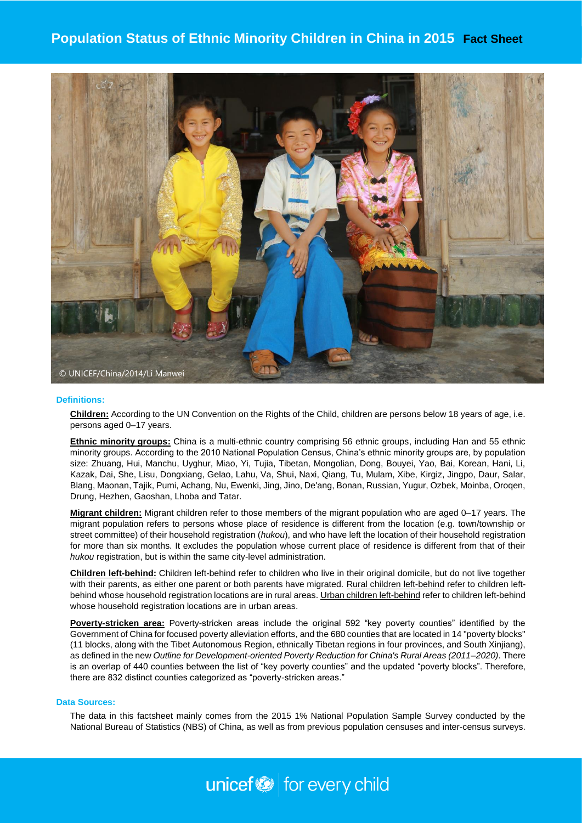## **Population Status of Ethnic Minority Children in China in 2015 Fact Sheet**



#### **Definitions:**

**Children:** According to the UN Convention on the Rights of the Child, children are persons below 18 years of age, i.e. persons aged 0–17 years.

**Ethnic minority groups:** China is a multi-ethnic country comprising 56 ethnic groups, including Han and 55 ethnic minority groups. According to the 2010 National Population Census, China's ethnic minority groups are, by population size: Zhuang, Hui, Manchu, Uyghur, Miao, Yi, Tujia, Tibetan, Mongolian, Dong, Bouyei, Yao, Bai, Korean, Hani, Li, Kazak, Dai, She, Lisu, Dongxiang, Gelao, Lahu, Va, Shui, Naxi, Qiang, Tu, Mulam, Xibe, Kirgiz, Jingpo, Daur, Salar, Blang, Maonan, Tajik, Pumi, Achang, Nu, Ewenki, Jing, Jino, De'ang, Bonan, Russian, Yugur, Ozbek, Moinba, Oroqen, Drung, Hezhen, Gaoshan, Lhoba and Tatar.

**Migrant children:** Migrant children refer to those members of the migrant population who are aged 0–17 years. The migrant population refers to persons whose place of residence is different from the location (e.g. town/township or street committee) of their household registration (*hukou*), and who have left the location of their household registration for more than six months. It excludes the population whose current place of residence is different from that of their *hukou* registration, but is within the same city-level administration.

**Children left-behind:** Children left-behind refer to children who live in their original domicile, but do not live together with their parents, as either one parent or both parents have migrated. Rural children left-behind refer to children leftbehind whose household registration locations are in rural areas. Urban children left-behind refer to children left-behind whose household registration locations are in urban areas.

**Poverty-stricken area:** Poverty-stricken areas include the original 592 "key poverty counties" identified by the Government of China for focused poverty alleviation efforts, and the 680 counties that are located in 14 "poverty blocks" (11 blocks, along with the Tibet Autonomous Region, ethnically Tibetan regions in four provinces, and South Xinjiang), as defined in the new *Outline for Development-oriented Poverty Reduction for China's Rural Areas (2011–2020)*. There is an overlap of 440 counties between the list of "key poverty counties" and the updated "poverty blocks". Therefore, there are 832 distinct counties categorized as "poverty-stricken areas."

#### **Data Sources:**

The data in this factsheet mainly comes from the 2015 1% National Population Sample Survey conducted by the National Bureau of Statistics (NBS) of China, as well as from previous population censuses and inter-census surveys.

# unicef<sup>®</sup> for every child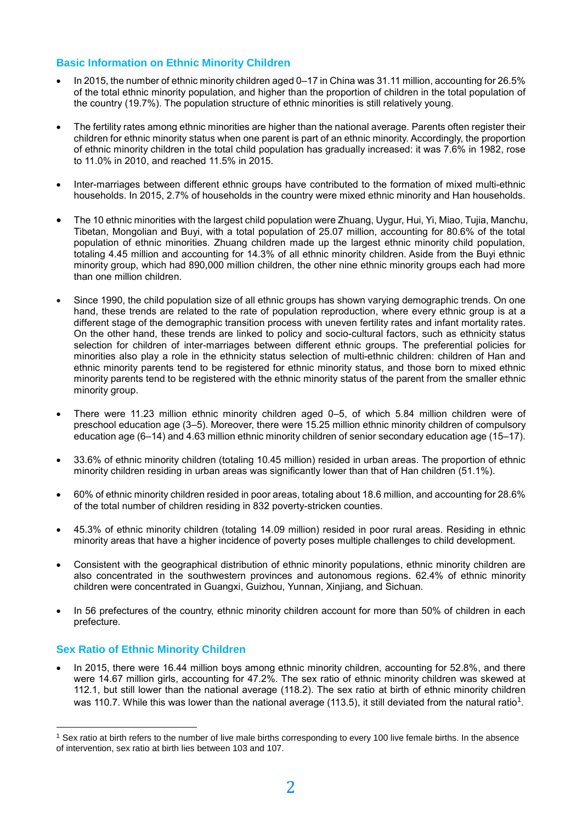## **Basic Information on Ethnic Minority Children**

- In 2015, the number of ethnic minority children aged 0–17 in China was 31.11 million, accounting for 26.5% of the total ethnic minority population, and higher than the proportion of children in the total population of the country (19.7%). The population structure of ethnic minorities is still relatively young.
- The fertility rates among ethnic minorities are higher than the national average. Parents often register their children for ethnic minority status when one parent is part of an ethnic minority. Accordingly, the proportion of ethnic minority children in the total child population has gradually increased: it was 7.6% in 1982, rose to 11.0% in 2010, and reached 11.5% in 2015.
- Inter-marriages between different ethnic groups have contributed to the formation of mixed multi-ethnic households. In 2015, 2.7% of households in the country were mixed ethnic minority and Han households.
- The 10 ethnic minorities with the largest child population were Zhuang, Uygur, Hui, Yi, Miao, Tujia, Manchu, Tibetan, Mongolian and Buyi, with a total population of 25.07 million, accounting for 80.6% of the total population of ethnic minorities. Zhuang children made up the largest ethnic minority child population, totaling 4.45 million and accounting for 14.3% of all ethnic minority children. Aside from the Buyi ethnic minority group, which had 890,000 million children, the other nine ethnic minority groups each had more than one million children.
- Since 1990, the child population size of all ethnic groups has shown varying demographic trends. On one hand, these trends are related to the rate of population reproduction, where every ethnic group is at a different stage of the demographic transition process with uneven fertility rates and infant mortality rates. On the other hand, these trends are linked to policy and socio-cultural factors, such as ethnicity status selection for children of inter-marriages between different ethnic groups. The preferential policies for minorities also play a role in the ethnicity status selection of multi-ethnic children: children of Han and ethnic minority parents tend to be registered for ethnic minority status, and those born to mixed ethnic minority parents tend to be registered with the ethnic minority status of the parent from the smaller ethnic minority group.
- There were 11.23 million ethnic minority children aged 0–5, of which 5.84 million children were of preschool education age (3–5). Moreover, there were 15.25 million ethnic minority children of compulsory education age (6–14) and 4.63 million ethnic minority children of senior secondary education age (15–17).
- 33.6% of ethnic minority children (totaling 10.45 million) resided in urban areas. The proportion of ethnic minority children residing in urban areas was significantly lower than that of Han children (51.1%).
- 60% of ethnic minority children resided in poor areas, totaling about 18.6 million, and accounting for 28.6% of the total number of children residing in 832 poverty-stricken counties.
- 45.3% of ethnic minority children (totaling 14.09 million) resided in poor rural areas. Residing in ethnic minority areas that have a higher incidence of poverty poses multiple challenges to child development.
- Consistent with the geographical distribution of ethnic minority populations, ethnic minority children are also concentrated in the southwestern provinces and autonomous regions. 62.4% of ethnic minority children were concentrated in Guangxi, Guizhou, Yunnan, Xinjiang, and Sichuan.
- In 56 prefectures of the country, ethnic minority children account for more than 50% of children in each prefecture.

#### **Sex Ratio of Ethnic Minority Children**

 $\overline{a}$ 

In 2015, there were 16.44 million boys among ethnic minority children, accounting for 52.8%, and there were 14.67 million girls, accounting for 47.2%. The sex ratio of ethnic minority children was skewed at 112.1, but still lower than the national average (118.2). The sex ratio at birth of ethnic minority children was 110.7. While this was lower than the national average (113.5), it still deviated from the natural ratio<sup>1</sup>.

 $1$  Sex ratio at birth refers to the number of live male births corresponding to every 100 live female births. In the absence of intervention, sex ratio at birth lies between 103 and 107.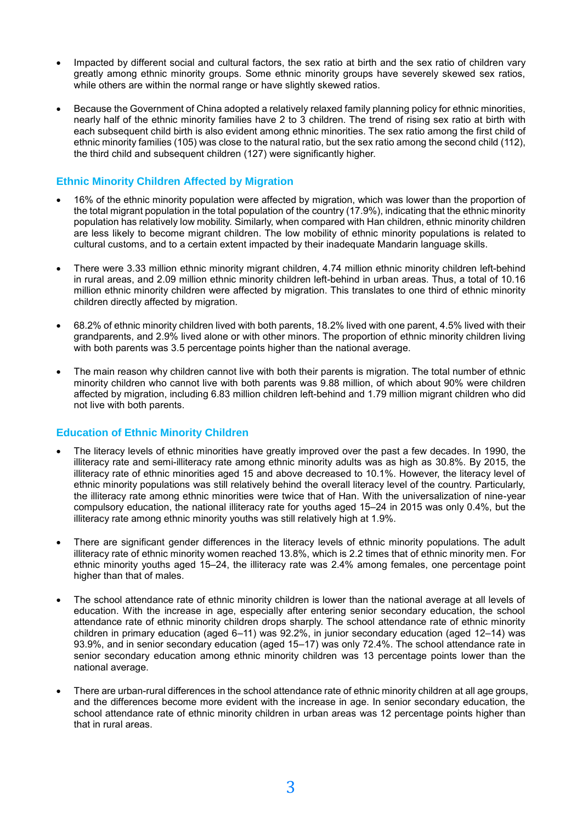- Impacted by different social and cultural factors, the sex ratio at birth and the sex ratio of children vary greatly among ethnic minority groups. Some ethnic minority groups have severely skewed sex ratios, while others are within the normal range or have slightly skewed ratios.
- Because the Government of China adopted a relatively relaxed family planning policy for ethnic minorities, nearly half of the ethnic minority families have 2 to 3 children. The trend of rising sex ratio at birth with each subsequent child birth is also evident among ethnic minorities. The sex ratio among the first child of ethnic minority families (105) was close to the natural ratio, but the sex ratio among the second child (112), the third child and subsequent children (127) were significantly higher.

## **Ethnic Minority Children Affected by Migration**

- 16% of the ethnic minority population were affected by migration, which was lower than the proportion of the total migrant population in the total population of the country (17.9%), indicating that the ethnic minority population has relatively low mobility. Similarly, when compared with Han children, ethnic minority children are less likely to become migrant children. The low mobility of ethnic minority populations is related to cultural customs, and to a certain extent impacted by their inadequate Mandarin language skills.
- There were 3.33 million ethnic minority migrant children, 4.74 million ethnic minority children left-behind in rural areas, and 2.09 million ethnic minority children left-behind in urban areas. Thus, a total of 10.16 million ethnic minority children were affected by migration. This translates to one third of ethnic minority children directly affected by migration.
- 68.2% of ethnic minority children lived with both parents, 18.2% lived with one parent, 4.5% lived with their grandparents, and 2.9% lived alone or with other minors. The proportion of ethnic minority children living with both parents was 3.5 percentage points higher than the national average.
- The main reason why children cannot live with both their parents is migration. The total number of ethnic minority children who cannot live with both parents was 9.88 million, of which about 90% were children affected by migration, including 6.83 million children left-behind and 1.79 million migrant children who did not live with both parents.

## **Education of Ethnic Minority Children**

- The literacy levels of ethnic minorities have greatly improved over the past a few decades. In 1990, the illiteracy rate and semi-illiteracy rate among ethnic minority adults was as high as 30.8%. By 2015, the illiteracy rate of ethnic minorities aged 15 and above decreased to 10.1%. However, the literacy level of ethnic minority populations was still relatively behind the overall literacy level of the country. Particularly, the illiteracy rate among ethnic minorities were twice that of Han. With the universalization of nine-year compulsory education, the national illiteracy rate for youths aged 15–24 in 2015 was only 0.4%, but the illiteracy rate among ethnic minority youths was still relatively high at 1.9%.
- There are significant gender differences in the literacy levels of ethnic minority populations. The adult illiteracy rate of ethnic minority women reached 13.8%, which is 2.2 times that of ethnic minority men. For ethnic minority youths aged 15–24, the illiteracy rate was 2.4% among females, one percentage point higher than that of males.
- The school attendance rate of ethnic minority children is lower than the national average at all levels of education. With the increase in age, especially after entering senior secondary education, the school attendance rate of ethnic minority children drops sharply. The school attendance rate of ethnic minority children in primary education (aged 6–11) was 92.2%, in junior secondary education (aged 12–14) was 93.9%, and in senior secondary education (aged 15–17) was only 72.4%. The school attendance rate in senior secondary education among ethnic minority children was 13 percentage points lower than the national average.
- There are urban-rural differences in the school attendance rate of ethnic minority children at all age groups, and the differences become more evident with the increase in age. In senior secondary education, the school attendance rate of ethnic minority children in urban areas was 12 percentage points higher than that in rural areas.